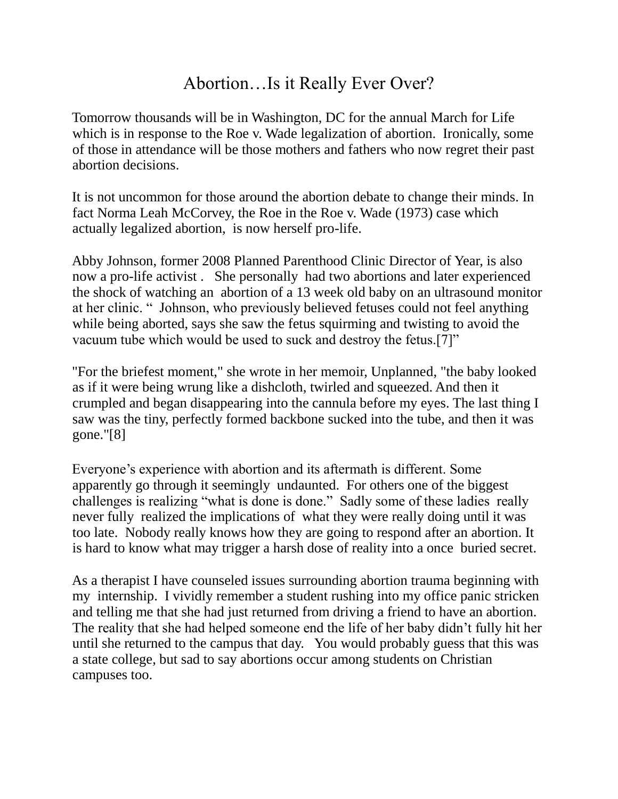## Abortion…Is it Really Ever Over?

Tomorrow thousands will be in Washington, DC for the annual March for Life which is in response to the Roe v. Wade legalization of abortion. Ironically, some of those in attendance will be those mothers and fathers who now regret their past abortion decisions.

It is not uncommon for those around the abortion debate to change their minds. In fact Norma Leah McCorvey, the Roe in the Roe v. Wade (1973) case which actually legalized abortion, is now herself pro-life.

Abby Johnson, former 2008 Planned Parenthood Clinic Director of Year, is also now a pro-life activist . She personally had two abortions and later experienced the shock of watching an abortion of a 13 week old baby on an ultrasound monitor at her clinic. " Johnson, who previously believed fetuses could not feel anything while being aborted, says she saw the fetus squirming and twisting to avoid the vacuum tube which would be used to suck and destroy the fetus.[7]"

"For the briefest moment," she wrote in her memoir, Unplanned, "the baby looked as if it were being wrung like a dishcloth, twirled and squeezed. And then it crumpled and began disappearing into the cannula before my eyes. The last thing I saw was the tiny, perfectly formed backbone sucked into the tube, and then it was gone."[8]

Everyone's experience with abortion and its aftermath is different. Some apparently go through it seemingly undaunted. For others one of the biggest challenges is realizing "what is done is done." Sadly some of these ladies really never fully realized the implications of what they were really doing until it was too late. Nobody really knows how they are going to respond after an abortion. It is hard to know what may trigger a harsh dose of reality into a once buried secret.

As a therapist I have counseled issues surrounding abortion trauma beginning with my internship. I vividly remember a student rushing into my office panic stricken and telling me that she had just returned from driving a friend to have an abortion. The reality that she had helped someone end the life of her baby didn't fully hit her until she returned to the campus that day. You would probably guess that this was a state college, but sad to say abortions occur among students on Christian campuses too.